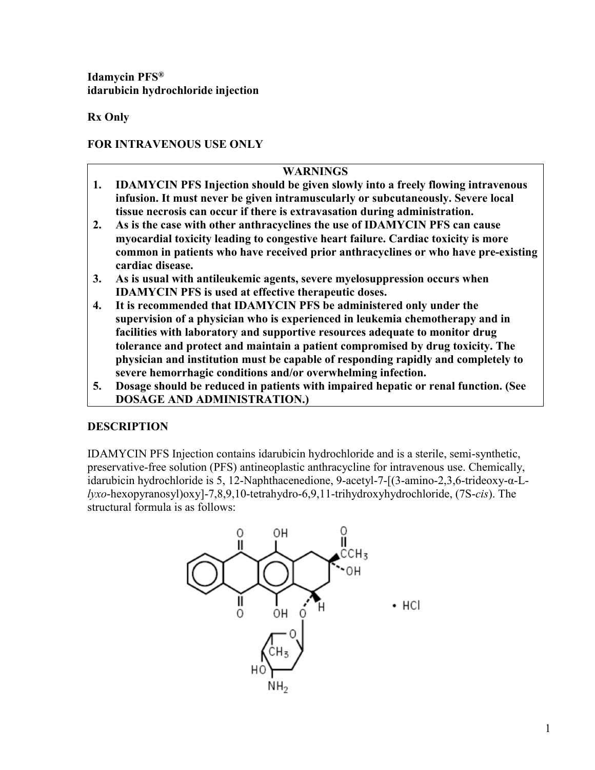### **Rx Only**

### **FOR INTRAVENOUS USE ONLY**

#### **WARNINGS**

- **1. IDAMYCIN PFS Injection should be given slowly into a freely flowing intravenous infusion. It must never be given intramuscularly or subcutaneously. Severe local tissue necrosis can occur if there is extravasation during administration.**
- **2. As is the case with other anthracyclines the use of IDAMYCIN PFS can cause myocardial toxicity leading to congestive heart failure. Cardiac toxicity is more common in patients who have received prior anthracyclines or who have pre-existing cardiac disease.**
- **3. As is usual with antileukemic agents, severe myelosuppression occurs when IDAMYCIN PFS is used at effective therapeutic doses.**
- **4. It is recommended that IDAMYCIN PFS be administered only under the supervision of a physician who is experienced in leukemia chemotherapy and in facilities with laboratory and supportive resources adequate to monitor drug tolerance and protect and maintain a patient compromised by drug toxicity. The physician and institution must be capable of responding rapidly and completely to severe hemorrhagic conditions and/or overwhelming infection.**
- **5. Dosage should be reduced in patients with impaired hepatic or renal function. (See DOSAGE AND ADMINISTRATION.)**

### **DESCRIPTION**

IDAMYCIN PFS Injection contains idarubicin hydrochloride and is a sterile, semi-synthetic, preservative-free solution (PFS) antineoplastic anthracycline for intravenous use. Chemically, idarubicin hydrochloride is 5, 12-Naphthacenedione, 9-acetyl-7-[(3-amino-2,3,6-trideoxy-α-L*lyxo*-hexopyranosyl)oxy]-7,8,9,10-tetrahydro-6,9,11-trihydroxyhydrochloride, (7S-*cis*). The structural formula is as follows:

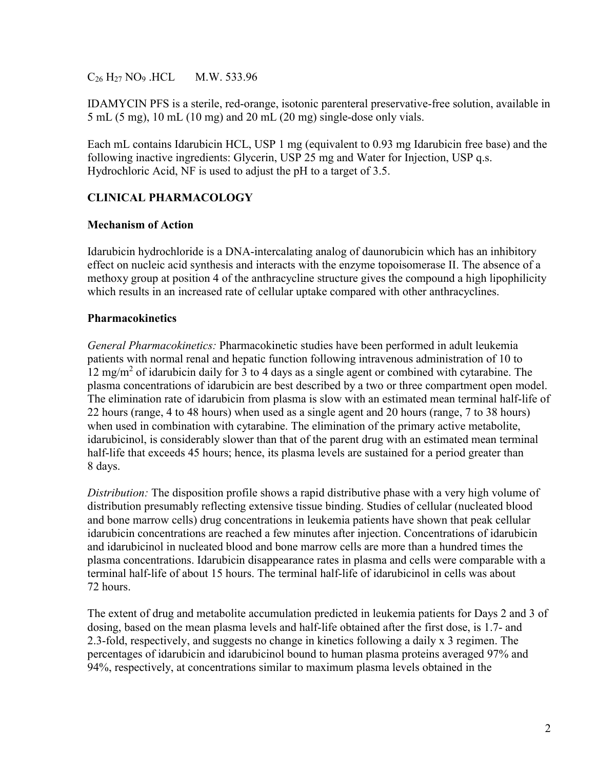C<sup>26</sup> H<sup>27</sup> NO<sup>9</sup> .HCL M.W. 533.96

IDAMYCIN PFS is a sterile, red-orange, isotonic parenteral preservative-free solution, available in 5 mL (5 mg), 10 mL (10 mg) and 20 mL (20 mg) single-dose only vials.

Each mL contains Idarubicin HCL, USP 1 mg (equivalent to 0.93 mg Idarubicin free base) and the following inactive ingredients: Glycerin, USP 25 mg and Water for Injection, USP q.s. Hydrochloric Acid, NF is used to adjust the pH to a target of 3.5.

### **CLINICAL PHARMACOLOGY**

#### **Mechanism of Action**

Idarubicin hydrochloride is a DNA-intercalating analog of daunorubicin which has an inhibitory effect on nucleic acid synthesis and interacts with the enzyme topoisomerase II. The absence of a methoxy group at position 4 of the anthracycline structure gives the compound a high lipophilicity which results in an increased rate of cellular uptake compared with other anthracyclines.

#### **Pharmacokinetics**

*General Pharmacokinetics:* Pharmacokinetic studies have been performed in adult leukemia patients with normal renal and hepatic function following intravenous administration of 10 to  $12 \text{ mg/m}^2$  of idarubicin daily for 3 to 4 days as a single agent or combined with cytarabine. The plasma concentrations of idarubicin are best described by a two or three compartment open model. The elimination rate of idarubicin from plasma is slow with an estimated mean terminal half-life of 22 hours (range, 4 to 48 hours) when used as a single agent and 20 hours (range, 7 to 38 hours) when used in combination with cytarabine. The elimination of the primary active metabolite, idarubicinol, is considerably slower than that of the parent drug with an estimated mean terminal half-life that exceeds 45 hours; hence, its plasma levels are sustained for a period greater than 8 days.

*Distribution:* The disposition profile shows a rapid distributive phase with a very high volume of distribution presumably reflecting extensive tissue binding. Studies of cellular (nucleated blood and bone marrow cells) drug concentrations in leukemia patients have shown that peak cellular idarubicin concentrations are reached a few minutes after injection. Concentrations of idarubicin and idarubicinol in nucleated blood and bone marrow cells are more than a hundred times the plasma concentrations. Idarubicin disappearance rates in plasma and cells were comparable with a terminal half-life of about 15 hours. The terminal half-life of idarubicinol in cells was about 72 hours.

The extent of drug and metabolite accumulation predicted in leukemia patients for Days 2 and 3 of dosing, based on the mean plasma levels and half-life obtained after the first dose, is 1.7- and 2.3-fold, respectively, and suggests no change in kinetics following a daily x 3 regimen. The percentages of idarubicin and idarubicinol bound to human plasma proteins averaged 97% and 94%, respectively, at concentrations similar to maximum plasma levels obtained in the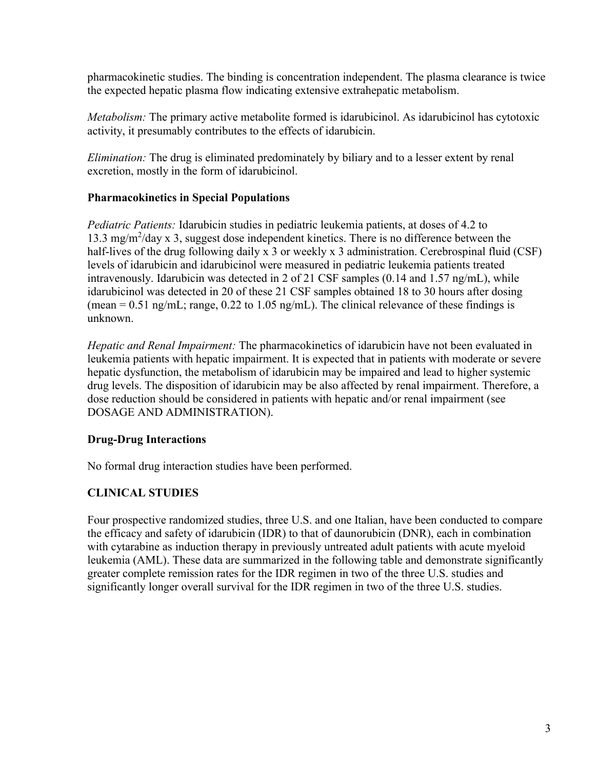pharmacokinetic studies. The binding is concentration independent. The plasma clearance is twice the expected hepatic plasma flow indicating extensive extrahepatic metabolism.

*Metabolism:* The primary active metabolite formed is idarubicinol. As idarubicinol has cytotoxic activity, it presumably contributes to the effects of idarubicin.

*Elimination:* The drug is eliminated predominately by biliary and to a lesser extent by renal excretion, mostly in the form of idarubicinol.

### **Pharmacokinetics in Special Populations**

*Pediatric Patients:* Idarubicin studies in pediatric leukemia patients, at doses of 4.2 to 13.3 mg/m<sup>2</sup> /day x 3, suggest dose independent kinetics. There is no difference between the half-lives of the drug following daily x 3 or weekly x 3 administration. Cerebrospinal fluid (CSF) levels of idarubicin and idarubicinol were measured in pediatric leukemia patients treated intravenously. Idarubicin was detected in 2 of 21 CSF samples (0.14 and 1.57 ng/mL), while idarubicinol was detected in 20 of these 21 CSF samples obtained 18 to 30 hours after dosing (mean =  $0.51$  ng/mL; range,  $0.22$  to 1.05 ng/mL). The clinical relevance of these findings is unknown.

*Hepatic and Renal Impairment:* The pharmacokinetics of idarubicin have not been evaluated in leukemia patients with hepatic impairment. It is expected that in patients with moderate or severe hepatic dysfunction, the metabolism of idarubicin may be impaired and lead to higher systemic drug levels. The disposition of idarubicin may be also affected by renal impairment. Therefore, a dose reduction should be considered in patients with hepatic and/or renal impairment (see DOSAGE AND ADMINISTRATION).

### **Drug-Drug Interactions**

No formal drug interaction studies have been performed.

# **CLINICAL STUDIES**

Four prospective randomized studies, three U.S. and one Italian, have been conducted to compare the efficacy and safety of idarubicin (IDR) to that of daunorubicin (DNR), each in combination with cytarabine as induction therapy in previously untreated adult patients with acute myeloid leukemia (AML). These data are summarized in the following table and demonstrate significantly greater complete remission rates for the IDR regimen in two of the three U.S. studies and significantly longer overall survival for the IDR regimen in two of the three U.S. studies.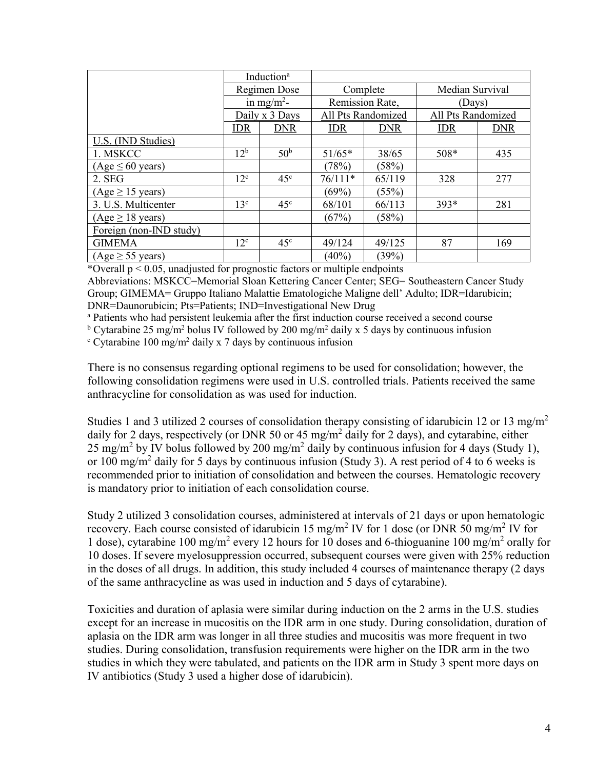|                               | Induction <sup>a</sup>                   |                 |                    |            |                    |            |
|-------------------------------|------------------------------------------|-----------------|--------------------|------------|--------------------|------------|
|                               | Regimen Dose                             |                 | Complete           |            | Median Survival    |            |
|                               | in mg/m <sup>2</sup> -<br>Daily x 3 Days |                 | Remission Rate,    |            | (Days)             |            |
|                               |                                          |                 | All Pts Randomized |            | All Pts Randomized |            |
|                               | <u>IDR</u>                               | <b>DNR</b>      | <u>IDR</u>         | <b>DNR</b> | IDR                | <b>DNR</b> |
| U.S. (IND Studies)            |                                          |                 |                    |            |                    |            |
| 1. MSKCC                      | 12 <sup>b</sup>                          | 50 <sup>b</sup> | $51/65*$           | 38/65      | 508*               | 435        |
| $(Age \leq 60 \text{ years})$ |                                          |                 | (78%)              | (58%)      |                    |            |
| $2.$ SEG                      | $12^{\circ}$                             | 45 <sup>c</sup> | $76/111*$          | 65/119     | 328                | 277        |
| $(Age \ge 15 \text{ years})$  |                                          |                 | (69%)              | (55%)      |                    |            |
| 3. U.S. Multicenter           | 13 <sup>c</sup>                          | $45^{\circ}$    | 68/101             | 66/113     | $393*$             | 281        |
| $(Age \geq 18 \text{ years})$ |                                          |                 | (67%)              | (58%)      |                    |            |
| Foreign (non-IND study)       |                                          |                 |                    |            |                    |            |
| <b>GIMEMA</b>                 | $12^{\circ}$                             | 45 <sup>c</sup> | 49/124             | 49/125     | 87                 | 169        |
| $(Age \geq 55 \text{ years})$ |                                          |                 | (40%)              | (39%)      |                    |            |

\*Overall  $p < 0.05$ , unadjusted for prognostic factors or multiple endpoints

Abbreviations: MSKCC=Memorial Sloan Kettering Cancer Center; SEG= Southeastern Cancer Study Group; GIMEMA= Gruppo Italiano Malattie Ematologiche Maligne dell' Adulto; IDR=Idarubicin; DNR=Daunorubicin; Pts=Patients; IND=Investigational New Drug

<sup>a</sup> Patients who had persistent leukemia after the first induction course received a second course

 $b$  Cytarabine 25 mg/m<sup>2</sup> bolus IV followed by 200 mg/m<sup>2</sup> daily x 5 days by continuous infusion

 $\degree$  Cytarabine 100 mg/m<sup>2</sup> daily x 7 days by continuous infusion

There is no consensus regarding optional regimens to be used for consolidation; however, the following consolidation regimens were used in U.S. controlled trials. Patients received the same anthracycline for consolidation as was used for induction.

Studies 1 and 3 utilized 2 courses of consolidation therapy consisting of idarubicin 12 or 13 mg/m<sup>2</sup> daily for 2 days, respectively (or DNR 50 or 45 mg/m<sup>2</sup> daily for 2 days), and cytarabine, either 25 mg/m<sup>2</sup> by IV bolus followed by 200 mg/m<sup>2</sup> daily by continuous infusion for 4 days (Study 1), or 100 mg/m<sup>2</sup> daily for 5 days by continuous infusion (Study 3). A rest period of 4 to 6 weeks is recommended prior to initiation of consolidation and between the courses. Hematologic recovery is mandatory prior to initiation of each consolidation course.

Study 2 utilized 3 consolidation courses, administered at intervals of 21 days or upon hematologic recovery. Each course consisted of idarubicin 15 mg/m<sup>2</sup> IV for 1 dose (or DNR 50 mg/m<sup>2</sup> IV for 1 dose), cytarabine 100 mg/m<sup>2</sup> every 12 hours for 10 doses and 6-thioguanine 100 mg/m<sup>2</sup> orally for 10 doses. If severe myelosuppression occurred, subsequent courses were given with 25% reduction in the doses of all drugs. In addition, this study included 4 courses of maintenance therapy (2 days of the same anthracycline as was used in induction and 5 days of cytarabine).

Toxicities and duration of aplasia were similar during induction on the 2 arms in the U.S. studies except for an increase in mucositis on the IDR arm in one study. During consolidation, duration of aplasia on the IDR arm was longer in all three studies and mucositis was more frequent in two studies. During consolidation, transfusion requirements were higher on the IDR arm in the two studies in which they were tabulated, and patients on the IDR arm in Study 3 spent more days on IV antibiotics (Study 3 used a higher dose of idarubicin).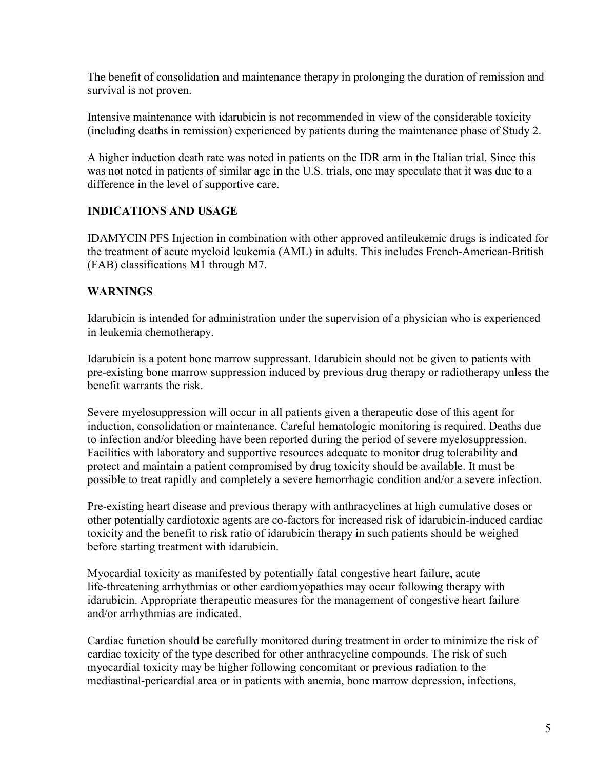The benefit of consolidation and maintenance therapy in prolonging the duration of remission and survival is not proven.

Intensive maintenance with idarubicin is not recommended in view of the considerable toxicity (including deaths in remission) experienced by patients during the maintenance phase of Study 2.

A higher induction death rate was noted in patients on the IDR arm in the Italian trial. Since this was not noted in patients of similar age in the U.S. trials, one may speculate that it was due to a difference in the level of supportive care.

### **INDICATIONS AND USAGE**

IDAMYCIN PFS Injection in combination with other approved antileukemic drugs is indicated for the treatment of acute myeloid leukemia (AML) in adults. This includes French-American-British (FAB) classifications M1 through M7.

### **WARNINGS**

Idarubicin is intended for administration under the supervision of a physician who is experienced in leukemia chemotherapy.

Idarubicin is a potent bone marrow suppressant. Idarubicin should not be given to patients with pre-existing bone marrow suppression induced by previous drug therapy or radiotherapy unless the benefit warrants the risk.

Severe myelosuppression will occur in all patients given a therapeutic dose of this agent for induction, consolidation or maintenance. Careful hematologic monitoring is required. Deaths due to infection and/or bleeding have been reported during the period of severe myelosuppression. Facilities with laboratory and supportive resources adequate to monitor drug tolerability and protect and maintain a patient compromised by drug toxicity should be available. It must be possible to treat rapidly and completely a severe hemorrhagic condition and/or a severe infection.

Pre-existing heart disease and previous therapy with anthracyclines at high cumulative doses or other potentially cardiotoxic agents are co-factors for increased risk of idarubicin-induced cardiac toxicity and the benefit to risk ratio of idarubicin therapy in such patients should be weighed before starting treatment with idarubicin.

Myocardial toxicity as manifested by potentially fatal congestive heart failure, acute life-threatening arrhythmias or other cardiomyopathies may occur following therapy with idarubicin. Appropriate therapeutic measures for the management of congestive heart failure and/or arrhythmias are indicated.

Cardiac function should be carefully monitored during treatment in order to minimize the risk of cardiac toxicity of the type described for other anthracycline compounds. The risk of such myocardial toxicity may be higher following concomitant or previous radiation to the mediastinal-pericardial area or in patients with anemia, bone marrow depression, infections,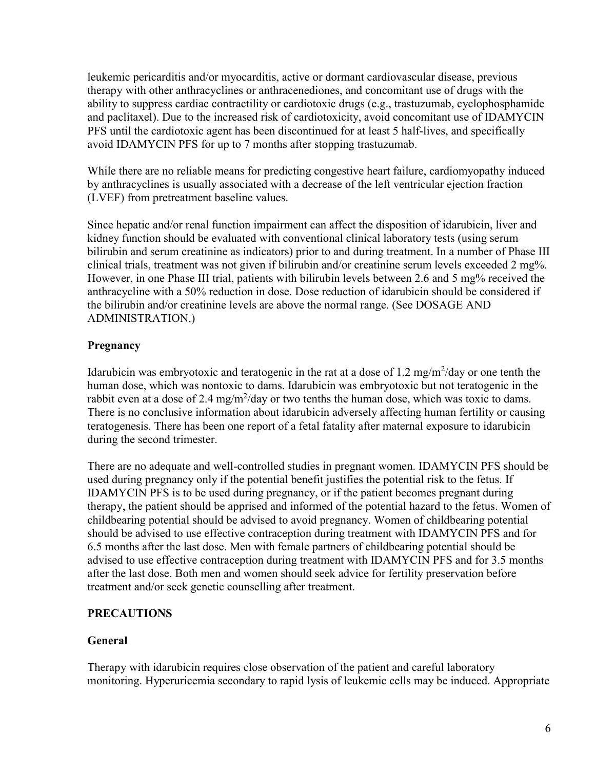leukemic pericarditis and/or myocarditis, active or dormant cardiovascular disease, previous therapy with other anthracyclines or anthracenediones, and concomitant use of drugs with the ability to suppress cardiac contractility or cardiotoxic drugs (e.g., trastuzumab, cyclophosphamide and paclitaxel). Due to the increased risk of cardiotoxicity, avoid concomitant use of IDAMYCIN PFS until the cardiotoxic agent has been discontinued for at least 5 half-lives, and specifically avoid IDAMYCIN PFS for up to 7 months after stopping trastuzumab.

While there are no reliable means for predicting congestive heart failure, cardiomyopathy induced by anthracyclines is usually associated with a decrease of the left ventricular ejection fraction (LVEF) from pretreatment baseline values.

Since hepatic and/or renal function impairment can affect the disposition of idarubicin, liver and kidney function should be evaluated with conventional clinical laboratory tests (using serum bilirubin and serum creatinine as indicators) prior to and during treatment. In a number of Phase III clinical trials, treatment was not given if bilirubin and/or creatinine serum levels exceeded 2 mg%. However, in one Phase III trial, patients with bilirubin levels between 2.6 and 5 mg% received the anthracycline with a 50% reduction in dose. Dose reduction of idarubicin should be considered if the bilirubin and/or creatinine levels are above the normal range. (See DOSAGE AND ADMINISTRATION.)

# **Pregnancy**

Idarubicin was embryotoxic and teratogenic in the rat at a dose of 1.2 mg/m<sup>2</sup>/day or one tenth the human dose, which was nontoxic to dams. Idarubicin was embryotoxic but not teratogenic in the rabbit even at a dose of 2.4 mg/m<sup>2</sup>/day or two tenths the human dose, which was toxic to dams. There is no conclusive information about idarubicin adversely affecting human fertility or causing teratogenesis. There has been one report of a fetal fatality after maternal exposure to idarubicin during the second trimester.

There are no adequate and well-controlled studies in pregnant women. IDAMYCIN PFS should be used during pregnancy only if the potential benefit justifies the potential risk to the fetus. If IDAMYCIN PFS is to be used during pregnancy, or if the patient becomes pregnant during therapy, the patient should be apprised and informed of the potential hazard to the fetus. Women of childbearing potential should be advised to avoid pregnancy. Women of childbearing potential should be advised to use effective contraception during treatment with IDAMYCIN PFS and for 6.5 months after the last dose. Men with female partners of childbearing potential should be advised to use effective contraception during treatment with IDAMYCIN PFS and for 3.5 months after the last dose. Both men and women should seek advice for fertility preservation before treatment and/or seek genetic counselling after treatment.

# **PRECAUTIONS**

# **General**

Therapy with idarubicin requires close observation of the patient and careful laboratory monitoring. Hyperuricemia secondary to rapid lysis of leukemic cells may be induced. Appropriate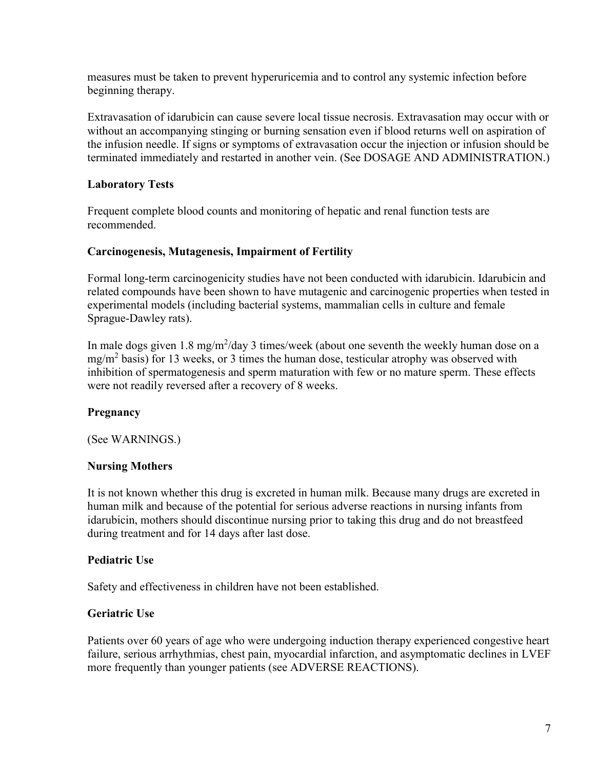measures must be taken to prevent hyperuricemia and to control any systemic infection before beginning therapy.

Extravasation of idarubicin can cause severe local tissue necrosis. Extravasation may occur with or without an accompanying stinging or burning sensation even if blood returns well on aspiration of the infusion needle. If signs or symptoms of extravasation occur the injection or infusion should be terminated immediately and restarted in another vein. (See DOSAGE AND ADMINISTRATION.)

### **Laboratory Tests**

Frequent complete blood counts and monitoring of hepatic and renal function tests are recommended.

### **Carcinogenesis, Mutagenesis, Impairment of Fertility**

Formal long-term carcinogenicity studies have not been conducted with idarubicin. Idarubicin and related compounds have been shown to have mutagenic and carcinogenic properties when tested in experimental models (including bacterial systems, mammalian cells in culture and female Sprague-Dawley rats).

In male dogs given  $1.8 \text{ mg/m}^2/\text{day}$  3 times/week (about one seventh the weekly human dose on a  $mg/m<sup>2</sup>$  basis) for 13 weeks, or 3 times the human dose, testicular atrophy was observed with inhibition of spermatogenesis and sperm maturation with few or no mature sperm. These effects were not readily reversed after a recovery of 8 weeks.

# **Pregnancy**

(See WARNINGS.)

### **Nursing Mothers**

It is not known whether this drug is excreted in human milk. Because many drugs are excreted in human milk and because of the potential for serious adverse reactions in nursing infants from idarubicin, mothers should discontinue nursing prior to taking this drug and do not breastfeed during treatment and for 14 days after last dose.

### **Pediatric Use**

Safety and effectiveness in children have not been established.

### **Geriatric Use**

Patients over 60 years of age who were undergoing induction therapy experienced congestive heart failure, serious arrhythmias, chest pain, myocardial infarction, and asymptomatic declines in LVEF more frequently than younger patients (see ADVERSE REACTIONS).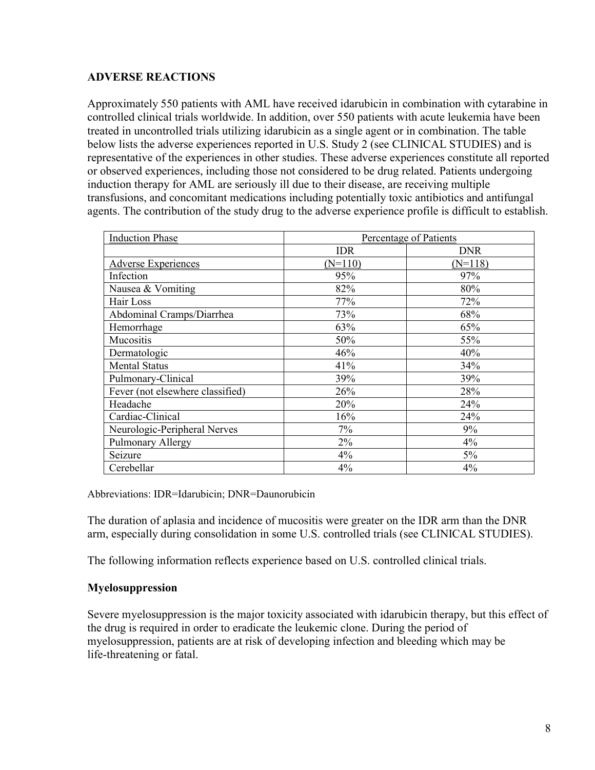### **ADVERSE REACTIONS**

Approximately 550 patients with AML have received idarubicin in combination with cytarabine in controlled clinical trials worldwide. In addition, over 550 patients with acute leukemia have been treated in uncontrolled trials utilizing idarubicin as a single agent or in combination. The table below lists the adverse experiences reported in U.S. Study 2 (see CLINICAL STUDIES) and is representative of the experiences in other studies. These adverse experiences constitute all reported or observed experiences, including those not considered to be drug related. Patients undergoing induction therapy for AML are seriously ill due to their disease, are receiving multiple transfusions, and concomitant medications including potentially toxic antibiotics and antifungal agents. The contribution of the study drug to the adverse experience profile is difficult to establish.

| <b>Induction Phase</b>           | Percentage of Patients |            |  |
|----------------------------------|------------------------|------------|--|
|                                  | <b>IDR</b>             | <b>DNR</b> |  |
| <b>Adverse Experiences</b>       | $(N=110)$              | $(N=118)$  |  |
| Infection                        | 95%                    | 97%        |  |
| Nausea & Vomiting                | 82%                    | 80%        |  |
| Hair Loss                        | 77%                    | 72%        |  |
| Abdominal Cramps/Diarrhea        | 73%                    | 68%        |  |
| Hemorrhage                       | 63%                    | 65%        |  |
| Mucositis                        | 50%                    | 55%        |  |
| Dermatologic                     | 46%                    | 40%        |  |
| <b>Mental Status</b>             | 41%                    | 34%        |  |
| Pulmonary-Clinical               | 39%                    | 39%        |  |
| Fever (not elsewhere classified) | 26%                    | 28%        |  |
| Headache                         | 20%                    | 24%        |  |
| Cardiac-Clinical                 | 16%                    | 24%        |  |
| Neurologic-Peripheral Nerves     | 7%                     | 9%         |  |
| Pulmonary Allergy                | $2\%$                  | 4%         |  |
| Seizure                          | 4%                     | 5%         |  |
| Cerebellar                       | 4%                     | 4%         |  |

Abbreviations: IDR=Idarubicin; DNR=Daunorubicin

The duration of aplasia and incidence of mucositis were greater on the IDR arm than the DNR arm, especially during consolidation in some U.S. controlled trials (see CLINICAL STUDIES).

The following information reflects experience based on U.S. controlled clinical trials.

### **Myelosuppression**

Severe myelosuppression is the major toxicity associated with idarubicin therapy, but this effect of the drug is required in order to eradicate the leukemic clone. During the period of myelosuppression, patients are at risk of developing infection and bleeding which may be life-threatening or fatal.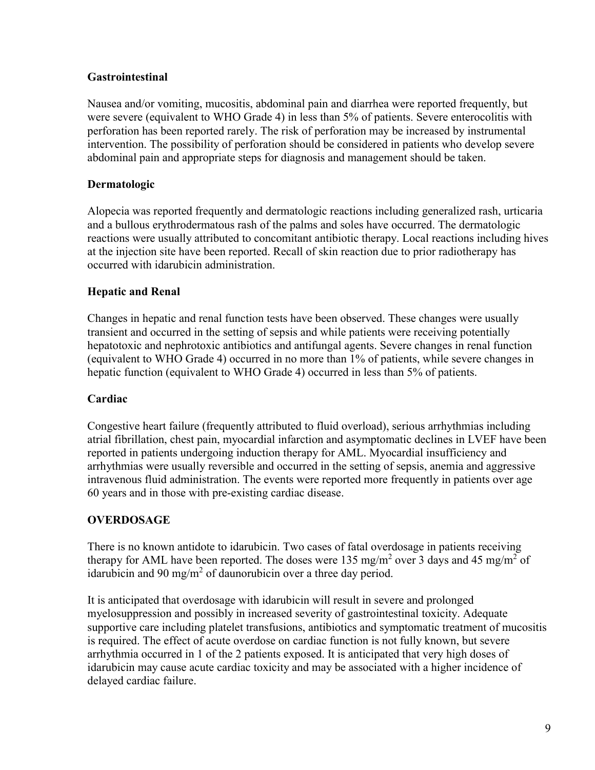### **Gastrointestinal**

Nausea and/or vomiting, mucositis, abdominal pain and diarrhea were reported frequently, but were severe (equivalent to WHO Grade 4) in less than 5% of patients. Severe enterocolitis with perforation has been reported rarely. The risk of perforation may be increased by instrumental intervention. The possibility of perforation should be considered in patients who develop severe abdominal pain and appropriate steps for diagnosis and management should be taken.

### **Dermatologic**

Alopecia was reported frequently and dermatologic reactions including generalized rash, urticaria and a bullous erythrodermatous rash of the palms and soles have occurred. The dermatologic reactions were usually attributed to concomitant antibiotic therapy. Local reactions including hives at the injection site have been reported. Recall of skin reaction due to prior radiotherapy has occurred with idarubicin administration.

### **Hepatic and Renal**

Changes in hepatic and renal function tests have been observed. These changes were usually transient and occurred in the setting of sepsis and while patients were receiving potentially hepatotoxic and nephrotoxic antibiotics and antifungal agents. Severe changes in renal function (equivalent to WHO Grade 4) occurred in no more than 1% of patients, while severe changes in hepatic function (equivalent to WHO Grade 4) occurred in less than 5% of patients.

# **Cardiac**

Congestive heart failure (frequently attributed to fluid overload), serious arrhythmias including atrial fibrillation, chest pain, myocardial infarction and asymptomatic declines in LVEF have been reported in patients undergoing induction therapy for AML. Myocardial insufficiency and arrhythmias were usually reversible and occurred in the setting of sepsis, anemia and aggressive intravenous fluid administration. The events were reported more frequently in patients over age 60 years and in those with pre-existing cardiac disease.

### **OVERDOSAGE**

There is no known antidote to idarubicin. Two cases of fatal overdosage in patients receiving therapy for AML have been reported. The doses were 135 mg/m<sup>2</sup> over 3 days and 45 mg/m<sup>2</sup> of idarubicin and 90 mg/m<sup>2</sup> of daunorubicin over a three day period.

It is anticipated that overdosage with idarubicin will result in severe and prolonged myelosuppression and possibly in increased severity of gastrointestinal toxicity. Adequate supportive care including platelet transfusions, antibiotics and symptomatic treatment of mucositis is required. The effect of acute overdose on cardiac function is not fully known, but severe arrhythmia occurred in 1 of the 2 patients exposed. It is anticipated that very high doses of idarubicin may cause acute cardiac toxicity and may be associated with a higher incidence of delayed cardiac failure.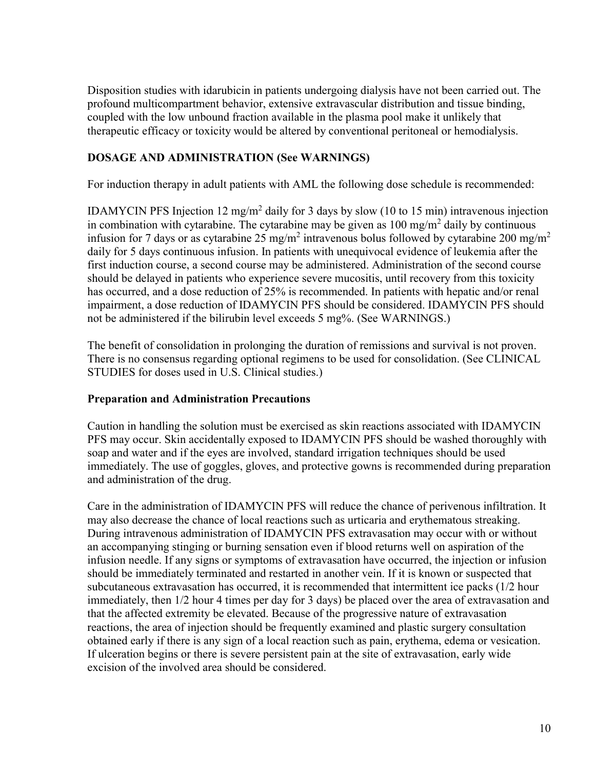Disposition studies with idarubicin in patients undergoing dialysis have not been carried out. The profound multicompartment behavior, extensive extravascular distribution and tissue binding, coupled with the low unbound fraction available in the plasma pool make it unlikely that therapeutic efficacy or toxicity would be altered by conventional peritoneal or hemodialysis.

### **DOSAGE AND ADMINISTRATION (See WARNINGS)**

For induction therapy in adult patients with AML the following dose schedule is recommended:

IDAMYCIN PFS Injection 12 mg/m<sup>2</sup> daily for 3 days by slow (10 to 15 min) intravenous injection in combination with cytarabine. The cytarabine may be given as  $100 \text{ mg/m}^2$  daily by continuous infusion for 7 days or as cytarabine 25 mg/m<sup>2</sup> intravenous bolus followed by cytarabine 200 mg/m<sup>2</sup> daily for 5 days continuous infusion. In patients with unequivocal evidence of leukemia after the first induction course, a second course may be administered. Administration of the second course should be delayed in patients who experience severe mucositis, until recovery from this toxicity has occurred, and a dose reduction of 25% is recommended. In patients with hepatic and/or renal impairment, a dose reduction of IDAMYCIN PFS should be considered. IDAMYCIN PFS should not be administered if the bilirubin level exceeds 5 mg%. (See WARNINGS.)

The benefit of consolidation in prolonging the duration of remissions and survival is not proven. There is no consensus regarding optional regimens to be used for consolidation. (See CLINICAL STUDIES for doses used in U.S. Clinical studies.)

### **Preparation and Administration Precautions**

Caution in handling the solution must be exercised as skin reactions associated with IDAMYCIN PFS may occur. Skin accidentally exposed to IDAMYCIN PFS should be washed thoroughly with soap and water and if the eyes are involved, standard irrigation techniques should be used immediately. The use of goggles, gloves, and protective gowns is recommended during preparation and administration of the drug.

Care in the administration of IDAMYCIN PFS will reduce the chance of perivenous infiltration. It may also decrease the chance of local reactions such as urticaria and erythematous streaking. During intravenous administration of IDAMYCIN PFS extravasation may occur with or without an accompanying stinging or burning sensation even if blood returns well on aspiration of the infusion needle. If any signs or symptoms of extravasation have occurred, the injection or infusion should be immediately terminated and restarted in another vein. If it is known or suspected that subcutaneous extravasation has occurred, it is recommended that intermittent ice packs (1/2 hour immediately, then 1/2 hour 4 times per day for 3 days) be placed over the area of extravasation and that the affected extremity be elevated. Because of the progressive nature of extravasation reactions, the area of injection should be frequently examined and plastic surgery consultation obtained early if there is any sign of a local reaction such as pain, erythema, edema or vesication. If ulceration begins or there is severe persistent pain at the site of extravasation, early wide excision of the involved area should be considered.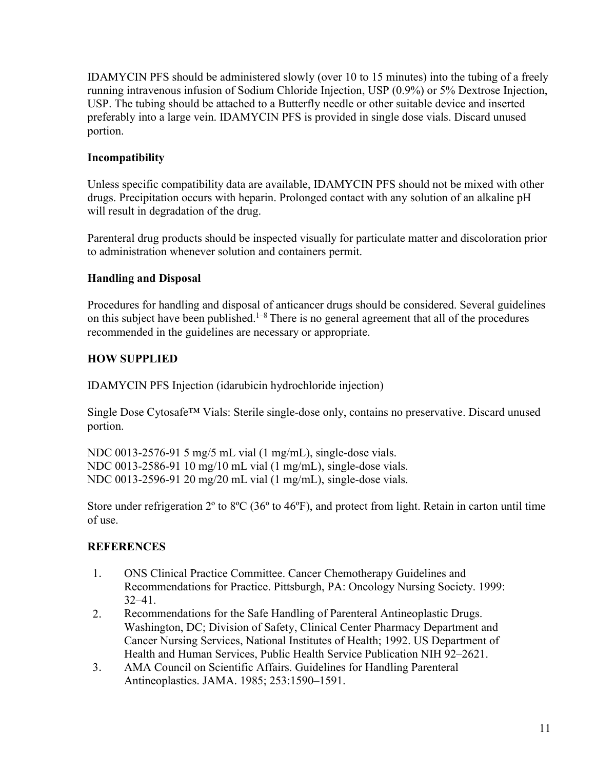IDAMYCIN PFS should be administered slowly (over 10 to 15 minutes) into the tubing of a freely running intravenous infusion of Sodium Chloride Injection, USP (0.9%) or 5% Dextrose Injection, USP. The tubing should be attached to a Butterfly needle or other suitable device and inserted preferably into a large vein. IDAMYCIN PFS is provided in single dose vials. Discard unused portion.

# **Incompatibility**

Unless specific compatibility data are available, IDAMYCIN PFS should not be mixed with other drugs. Precipitation occurs with heparin. Prolonged contact with any solution of an alkaline pH will result in degradation of the drug.

Parenteral drug products should be inspected visually for particulate matter and discoloration prior to administration whenever solution and containers permit.

# **Handling and Disposal**

Procedures for handling and disposal of anticancer drugs should be considered. Several guidelines on this subject have been published.<sup>1-8</sup> There is no general agreement that all of the procedures recommended in the guidelines are necessary or appropriate.

# **HOW SUPPLIED**

IDAMYCIN PFS Injection (idarubicin hydrochloride injection)

Single Dose Cytosafe™ Vials: Sterile single-dose only, contains no preservative. Discard unused portion.

NDC 0013-2576-91 5 mg/5 mL vial (1 mg/mL), single-dose vials. NDC 0013-2586-91 10 mg/10 mL vial (1 mg/mL), single-dose vials. NDC 0013-2596-91 20 mg/20 mL vial (1 mg/mL), single-dose vials.

Store under refrigeration 2º to 8ºC (36º to 46ºF), and protect from light. Retain in carton until time of use.

# **REFERENCES**

- 1. ONS Clinical Practice Committee. Cancer Chemotherapy Guidelines and Recommendations for Practice. Pittsburgh, PA: Oncology Nursing Society. 1999: 32–41.
- 2. Recommendations for the Safe Handling of Parenteral Antineoplastic Drugs. Washington, DC; Division of Safety, Clinical Center Pharmacy Department and Cancer Nursing Services, National Institutes of Health; 1992. US Department of Health and Human Services, Public Health Service Publication NIH 92–2621.
- 3. AMA Council on Scientific Affairs. Guidelines for Handling Parenteral Antineoplastics. JAMA. 1985; 253:1590–1591.